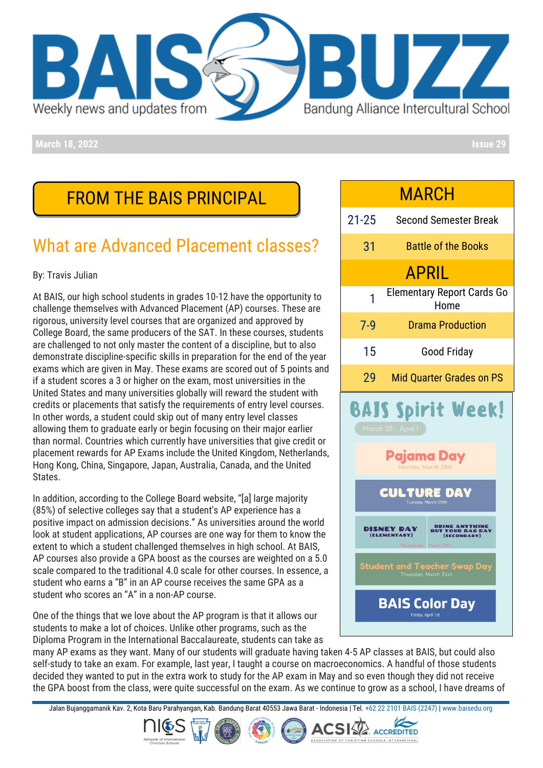

**March 18, 2022 Issue 29**

## FROM THE BAIS PRINCIPAL

# What are Advanced Placement classes?

#### By: Travis Julian

At BAIS, our high school students in grades 10-12 have the opportunity to challenge themselves with Advanced Placement (AP) courses. These are rigorous, university level courses that are organized and approved by College Board, the same producers of the SAT. In these courses, students are challenged to not only master the content of a discipline, but to also demonstrate discipline-specific skills in preparation for the end of the year exams which are given in May. These exams are scored out of 5 points and if a student scores a 3 or higher on the exam, most universities in the United States and many universities globally will reward the student with credits or placements that satisfy the requirements of entry level courses. In other words, a student could skip out of many entry level classes allowing them to graduate early or begin focusing on their major earlier than normal. Countries which currently have universities that give credit or placement rewards for AP Exams include the United Kingdom, Netherlands, Hong Kong, China, Singapore, Japan, Australia, Canada, and the United States.

In addition, according to the College Board website, "[a] large majority (85%) of selective colleges say that a student's AP experience has a positive impact on admission decisions." As universities around the world look at student applications, AP courses are one way for them to know the extent to which a student challenged themselves in high school. At BAIS, AP courses also provide a GPA boost as the courses are weighted on a 5.0 scale compared to the traditional 4.0 scale for other courses. In essence, a student who earns a "B" in an AP course receives the same GPA as a student who scores an "A" in a non-AP course.

One of the things that we love about the AP program is that it allows our students to make a lot of choices. Unlike other programs, such as the Diploma Program in the International Baccalaureate, students can take as



many AP exams as they want. Many of our students will graduate having taken 4-5 AP classes at BAIS, but could also self-study to take an exam. For example, last year, I taught a course on macroeconomics. A handful of those students decided they wanted to put in the extra work to study for the AP exam in May and so even though they did not receive the GPA boost from the class, were quite successful on the exam. As we continue to grow as a school, I have dreams of

Jalan Bujanggamanik Kav. 2, Kota Baru Parahyangan, Kab. Bandung Barat 40553 Jawa Barat - Indonesia | Tel[. +62 22 2101 BAIS \(2247\)](https://wa.me/622221012247) [| www.baisedu.org](http://www.baisedu.org/)